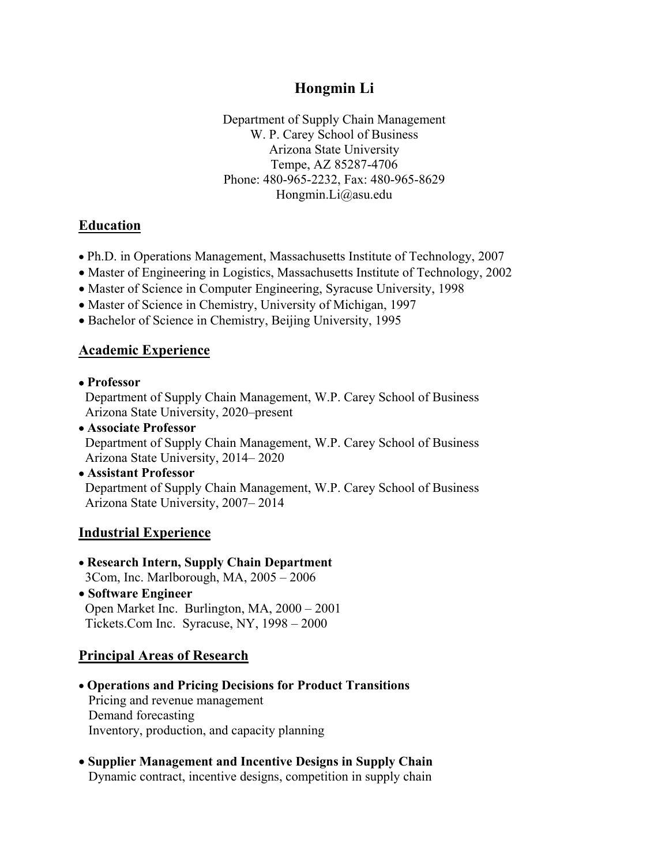# **Hongmin Li**

Department of Supply Chain Management W. P. Carey School of Business Arizona State University Tempe, AZ 85287-4706 Phone: 480-965-2232, Fax: 480-965-8629 Hongmin.Li@asu.edu

## **Education**

- Ph.D. in Operations Management, Massachusetts Institute of Technology, 2007
- Master of Engineering in Logistics, Massachusetts Institute of Technology, 2002
- Master of Science in Computer Engineering, Syracuse University, 1998
- Master of Science in Chemistry, University of Michigan, 1997
- Bachelor of Science in Chemistry, Beijing University, 1995

## **Academic Experience**

• **Professor**

 Department of Supply Chain Management, W.P. Carey School of Business Arizona State University, 2020–present

- **Associate Professor** Department of Supply Chain Management, W.P. Carey School of Business Arizona State University, 2014– 2020
- **Assistant Professor** Department of Supply Chain Management, W.P. Carey School of Business Arizona State University, 2007– 2014

## **Industrial Experience**

- **Research Intern, Supply Chain Department** 3Com, Inc. Marlborough, MA, 2005 – 2006
- **Software Engineer** Open Market Inc.Burlington, MA, 2000 – 2001 Tickets.Com Inc. Syracuse, NY, 1998 – 2000

## **Principal Areas of Research**

- **Operations and Pricing Decisions for Product Transitions** Pricing and revenue management Demand forecasting Inventory, production, and capacity planning
- **Supplier Management and Incentive Designs in Supply Chain** Dynamic contract, incentive designs, competition in supply chain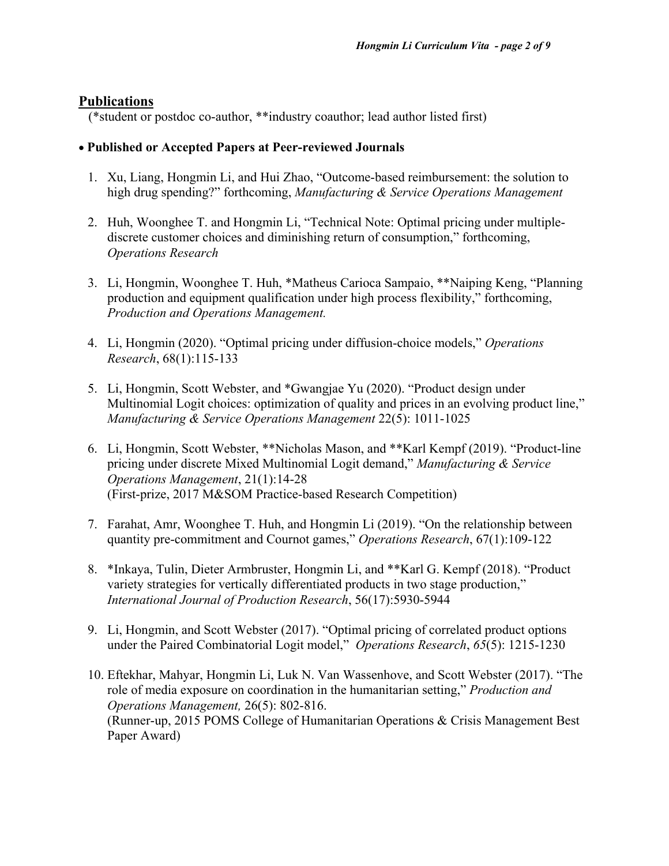## **Publications**

(\*student or postdoc co-author, \*\*industry coauthor; lead author listed first)

#### • **Published or Accepted Papers at Peer-reviewed Journals**

- 1. Xu, Liang, Hongmin Li, and Hui Zhao, "Outcome-based reimbursement: the solution to high drug spending?" forthcoming, *Manufacturing & Service Operations Management*
- 2. Huh, Woonghee T. and Hongmin Li, "Technical Note: Optimal pricing under multiplediscrete customer choices and diminishing return of consumption," forthcoming, *Operations Research*
- 3. Li, Hongmin, Woonghee T. Huh, \*Matheus Carioca Sampaio, \*\*Naiping Keng, "Planning production and equipment qualification under high process flexibility," forthcoming, *Production and Operations Management.*
- 4. Li, Hongmin (2020). "Optimal pricing under diffusion-choice models," *Operations Research*, 68(1):115-133
- 5. Li, Hongmin, Scott Webster, and \*Gwangjae Yu (2020). "Product design under Multinomial Logit choices: optimization of quality and prices in an evolving product line," *Manufacturing & Service Operations Management* 22(5): 1011-1025
- 6. Li, Hongmin, Scott Webster, \*\*Nicholas Mason, and \*\*Karl Kempf (2019). "Product-line pricing under discrete Mixed Multinomial Logit demand," *Manufacturing & Service Operations Management*, 21(1):14-28 (First-prize, 2017 M&SOM Practice-based Research Competition)
- 7. Farahat, Amr, Woonghee T. Huh, and Hongmin Li (2019). "On the relationship between quantity pre-commitment and Cournot games," *Operations Research*, 67(1):109-122
- 8. \*Inkaya, Tulin, Dieter Armbruster, Hongmin Li, and \*\*Karl G. Kempf (2018). "Product variety strategies for vertically differentiated products in two stage production," *International Journal of Production Research*, 56(17):5930-5944
- 9. Li, Hongmin, and Scott Webster (2017). "Optimal pricing of correlated product options under the Paired Combinatorial Logit model," *Operations Research*, *65*(5): 1215-1230
- 10. Eftekhar, Mahyar, Hongmin Li, Luk N. Van Wassenhove, and Scott Webster (2017). "The role of media exposure on coordination in the humanitarian setting," *Production and Operations Management,* 26(5): 802-816. (Runner-up, 2015 POMS College of Humanitarian Operations & Crisis Management Best Paper Award)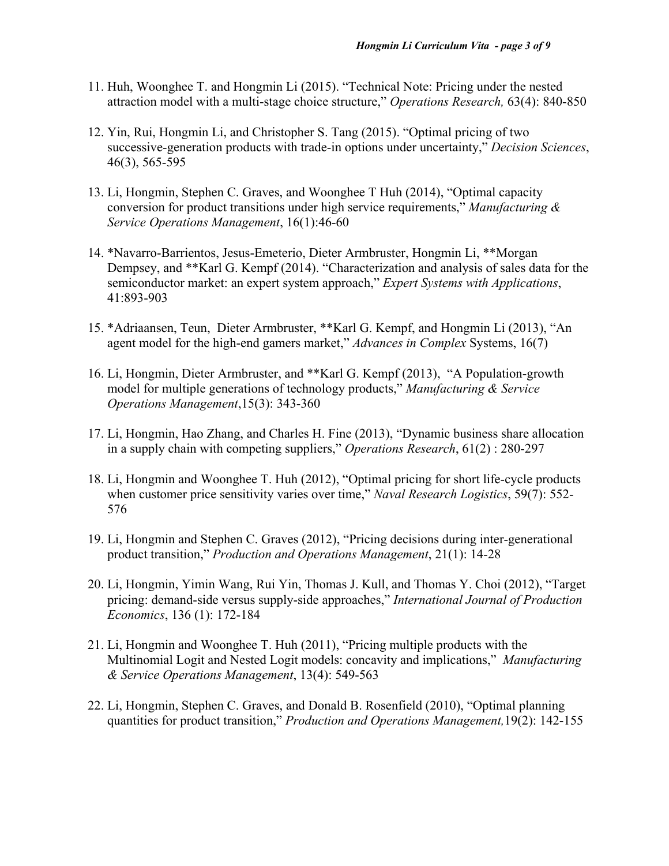- 11. Huh, Woonghee T. and Hongmin Li (2015). "Technical Note: Pricing under the nested attraction model with a multi-stage choice structure," *Operations Research,* 63(4): 840-850
- 12. Yin, Rui, Hongmin Li, and Christopher S. Tang (2015). "Optimal pricing of two successive-generation products with trade-in options under uncertainty," *Decision Sciences*, 46(3), 565-595
- 13. Li, Hongmin, Stephen C. Graves, and Woonghee T Huh (2014), "Optimal capacity conversion for product transitions under high service requirements," *Manufacturing & Service Operations Management*, 16(1):46-60
- 14. \*Navarro-Barrientos, Jesus-Emeterio, Dieter Armbruster, Hongmin Li, \*\*Morgan Dempsey, and \*\*Karl G. Kempf (2014). "Characterization and analysis of sales data for the semiconductor market: an expert system approach," *Expert Systems with Applications*, 41:893-903
- 15. \*Adriaansen, Teun, Dieter Armbruster, \*\*Karl G. Kempf, and Hongmin Li (2013), "An agent model for the high-end gamers market," *Advances in Complex* Systems, 16(7)
- 16. Li, Hongmin, Dieter Armbruster, and \*\*Karl G. Kempf (2013), "A Population-growth model for multiple generations of technology products," *Manufacturing & Service Operations Management*,15(3): 343-360
- 17. Li, Hongmin, Hao Zhang, and Charles H. Fine (2013), "Dynamic business share allocation in a supply chain with competing suppliers," *Operations Research*, 61(2) : 280-297
- 18. Li, Hongmin and Woonghee T. Huh (2012), "Optimal pricing for short life-cycle products when customer price sensitivity varies over time," *Naval Research Logistics*, 59(7): 552- 576
- 19. Li, Hongmin and Stephen C. Graves (2012), "Pricing decisions during inter-generational product transition," *Production and Operations Management*, 21(1): 14-28
- 20. Li, Hongmin, Yimin Wang, Rui Yin, Thomas J. Kull, and Thomas Y. Choi (2012), "Target pricing: demand-side versus supply-side approaches," *International Journal of Production Economics*, 136 (1): 172-184
- 21. Li, Hongmin and Woonghee T. Huh (2011), "Pricing multiple products with the Multinomial Logit and Nested Logit models: concavity and implications," *Manufacturing & Service Operations Management*, 13(4): 549-563
- 22. Li, Hongmin, Stephen C. Graves, and Donald B. Rosenfield (2010), "Optimal planning quantities for product transition," *Production and Operations Management,*19(2): 142-155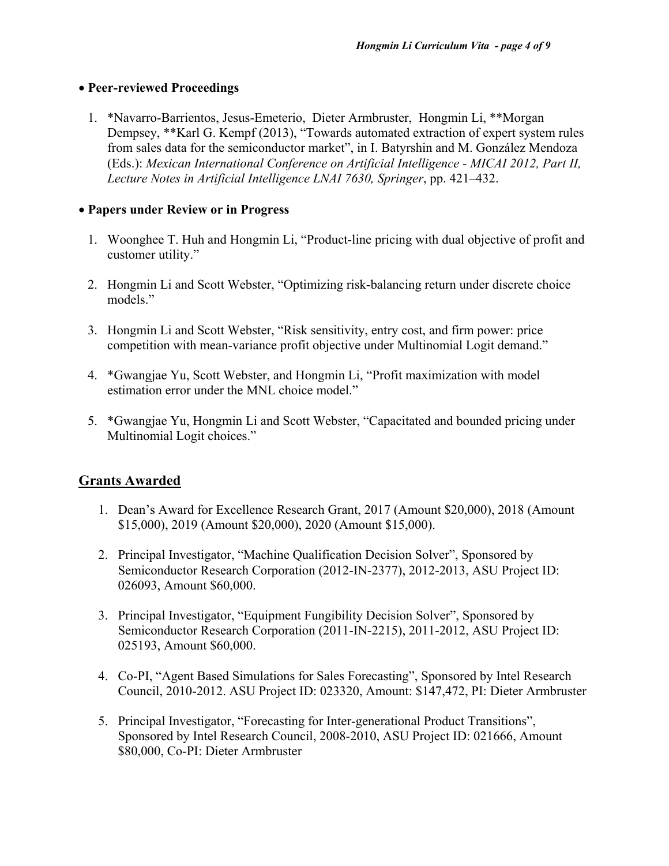#### • **Peer-reviewed Proceedings**

1. \*Navarro-Barrientos, Jesus-Emeterio, Dieter Armbruster, Hongmin Li, \*\*Morgan Dempsey, \*\*Karl G. Kempf (2013), "Towards automated extraction of expert system rules from sales data for the semiconductor market", in I. Batyrshin and M. González Mendoza (Eds.): *Mexican International Conference on Artificial Intelligence - MICAI 2012, Part II, Lecture Notes in Artificial Intelligence LNAI 7630, Springer*, pp. 421–432.

#### • **Papers under Review or in Progress**

- 1. Woonghee T. Huh and Hongmin Li, "Product-line pricing with dual objective of profit and customer utility."
- 2. Hongmin Li and Scott Webster, "Optimizing risk-balancing return under discrete choice models."
- 3. Hongmin Li and Scott Webster, "Risk sensitivity, entry cost, and firm power: price competition with mean-variance profit objective under Multinomial Logit demand."
- 4. \*Gwangjae Yu, Scott Webster, and Hongmin Li, "Profit maximization with model estimation error under the MNL choice model."
- 5. \*Gwangjae Yu, Hongmin Li and Scott Webster, "Capacitated and bounded pricing under Multinomial Logit choices."

## **Grants Awarded**

- 1. Dean's Award for Excellence Research Grant, 2017 (Amount \$20,000), 2018 (Amount \$15,000), 2019 (Amount \$20,000), 2020 (Amount \$15,000).
- 2. Principal Investigator, "Machine Qualification Decision Solver", Sponsored by Semiconductor Research Corporation (2012-IN-2377), 2012-2013, ASU Project ID: 026093, Amount \$60,000.
- 3. Principal Investigator, "Equipment Fungibility Decision Solver", Sponsored by Semiconductor Research Corporation (2011-IN-2215), 2011-2012, ASU Project ID: 025193, Amount \$60,000.
- 4. Co-PI, "Agent Based Simulations for Sales Forecasting", Sponsored by Intel Research Council, 2010-2012. ASU Project ID: 023320, Amount: \$147,472, PI: Dieter Armbruster
- 5. Principal Investigator, "Forecasting for Inter-generational Product Transitions", Sponsored by Intel Research Council, 2008-2010, ASU Project ID: 021666, Amount \$80,000, Co-PI: Dieter Armbruster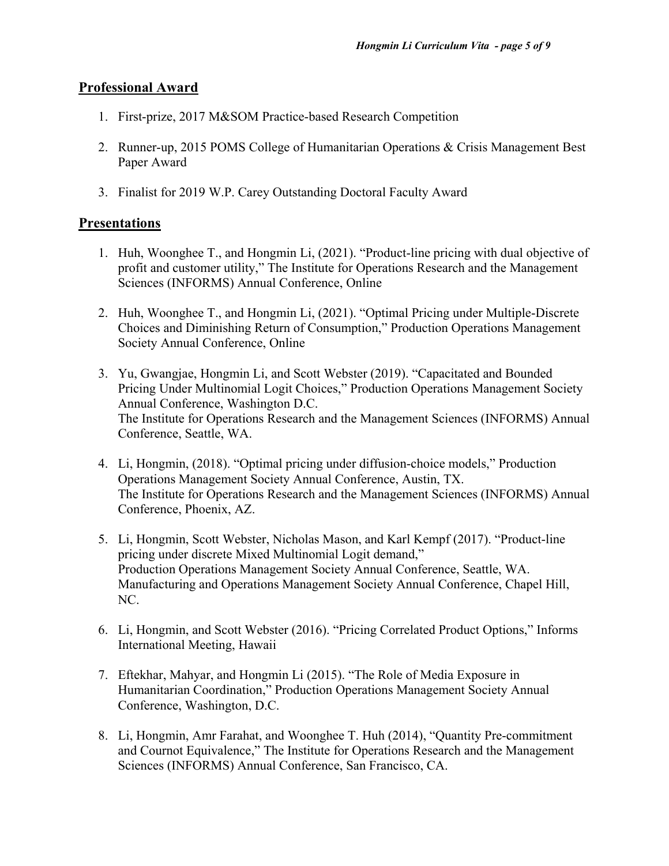## **Professional Award**

- 1. First-prize, 2017 M&SOM Practice-based Research Competition
- 2. Runner-up, 2015 POMS College of Humanitarian Operations & Crisis Management Best Paper Award
- 3. Finalist for 2019 W.P. Carey Outstanding Doctoral Faculty Award

## **Presentations**

- 1. Huh, Woonghee T., and Hongmin Li, (2021). "Product-line pricing with dual objective of profit and customer utility," The Institute for Operations Research and the Management Sciences (INFORMS) Annual Conference, Online
- 2. Huh, Woonghee T., and Hongmin Li, (2021). "Optimal Pricing under Multiple-Discrete Choices and Diminishing Return of Consumption," Production Operations Management Society Annual Conference, Online
- 3. Yu, Gwangjae, Hongmin Li, and Scott Webster (2019). "Capacitated and Bounded Pricing Under Multinomial Logit Choices," Production Operations Management Society Annual Conference, Washington D.C. The Institute for Operations Research and the Management Sciences (INFORMS) Annual Conference, Seattle, WA.
- 4. Li, Hongmin, (2018). "Optimal pricing under diffusion-choice models," Production Operations Management Society Annual Conference, Austin, TX. The Institute for Operations Research and the Management Sciences (INFORMS) Annual Conference, Phoenix, AZ.
- 5. Li, Hongmin, Scott Webster, Nicholas Mason, and Karl Kempf (2017). "Product-line pricing under discrete Mixed Multinomial Logit demand," Production Operations Management Society Annual Conference, Seattle, WA. Manufacturing and Operations Management Society Annual Conference, Chapel Hill, NC.
- 6. Li, Hongmin, and Scott Webster (2016). "Pricing Correlated Product Options," Informs International Meeting, Hawaii
- 7. Eftekhar, Mahyar, and Hongmin Li (2015). "The Role of Media Exposure in Humanitarian Coordination," Production Operations Management Society Annual Conference, Washington, D.C.
- 8. Li, Hongmin, Amr Farahat, and Woonghee T. Huh (2014), "Quantity Pre-commitment and Cournot Equivalence," The Institute for Operations Research and the Management Sciences (INFORMS) Annual Conference, San Francisco, CA.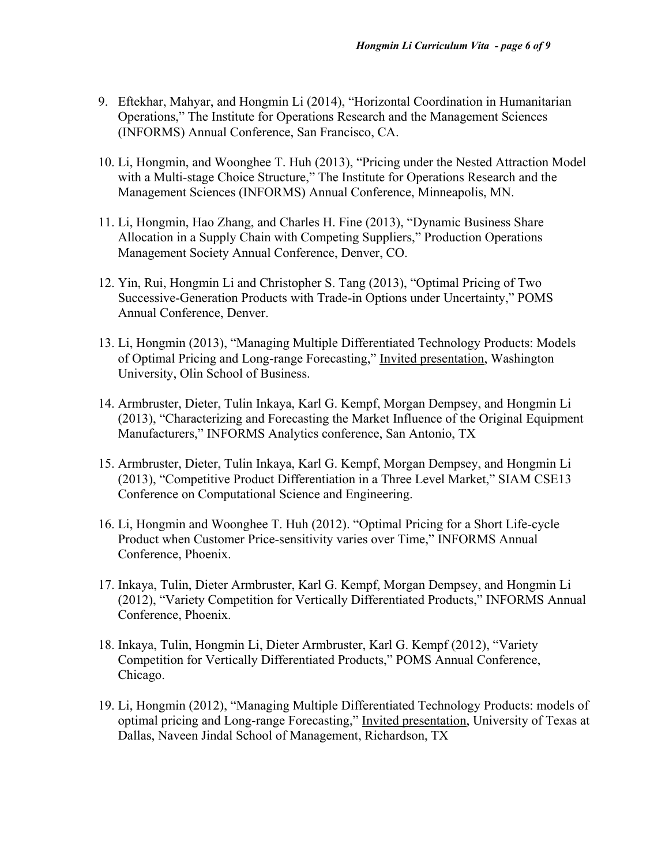- 9. Eftekhar, Mahyar, and Hongmin Li (2014), "Horizontal Coordination in Humanitarian Operations," The Institute for Operations Research and the Management Sciences (INFORMS) Annual Conference, San Francisco, CA.
- 10. Li, Hongmin, and Woonghee T. Huh (2013), "Pricing under the Nested Attraction Model with a Multi-stage Choice Structure," The Institute for Operations Research and the Management Sciences (INFORMS) Annual Conference, Minneapolis, MN.
- 11. Li, Hongmin, Hao Zhang, and Charles H. Fine (2013), "Dynamic Business Share Allocation in a Supply Chain with Competing Suppliers," Production Operations Management Society Annual Conference, Denver, CO.
- 12. Yin, Rui, Hongmin Li and Christopher S. Tang (2013), "Optimal Pricing of Two Successive-Generation Products with Trade-in Options under Uncertainty," POMS Annual Conference, Denver.
- 13. Li, Hongmin (2013), "Managing Multiple Differentiated Technology Products: Models of Optimal Pricing and Long-range Forecasting," Invited presentation, Washington University, Olin School of Business.
- 14. Armbruster, Dieter, Tulin Inkaya, Karl G. Kempf, Morgan Dempsey, and Hongmin Li (2013), "Characterizing and Forecasting the Market Influence of the Original Equipment Manufacturers," INFORMS Analytics conference, San Antonio, TX
- 15. Armbruster, Dieter, Tulin Inkaya, Karl G. Kempf, Morgan Dempsey, and Hongmin Li (2013), "Competitive Product Differentiation in a Three Level Market," SIAM CSE13 Conference on Computational Science and Engineering.
- 16. Li, Hongmin and Woonghee T. Huh (2012). "Optimal Pricing for a Short Life-cycle Product when Customer Price-sensitivity varies over Time," INFORMS Annual Conference, Phoenix.
- 17. Inkaya, Tulin, Dieter Armbruster, Karl G. Kempf, Morgan Dempsey, and Hongmin Li (2012), "Variety Competition for Vertically Differentiated Products," INFORMS Annual Conference, Phoenix.
- 18. Inkaya, Tulin, Hongmin Li, Dieter Armbruster, Karl G. Kempf (2012), "Variety Competition for Vertically Differentiated Products," POMS Annual Conference, Chicago.
- 19. Li, Hongmin (2012), "Managing Multiple Differentiated Technology Products: models of optimal pricing and Long-range Forecasting," Invited presentation, University of Texas at Dallas, Naveen Jindal School of Management, Richardson, TX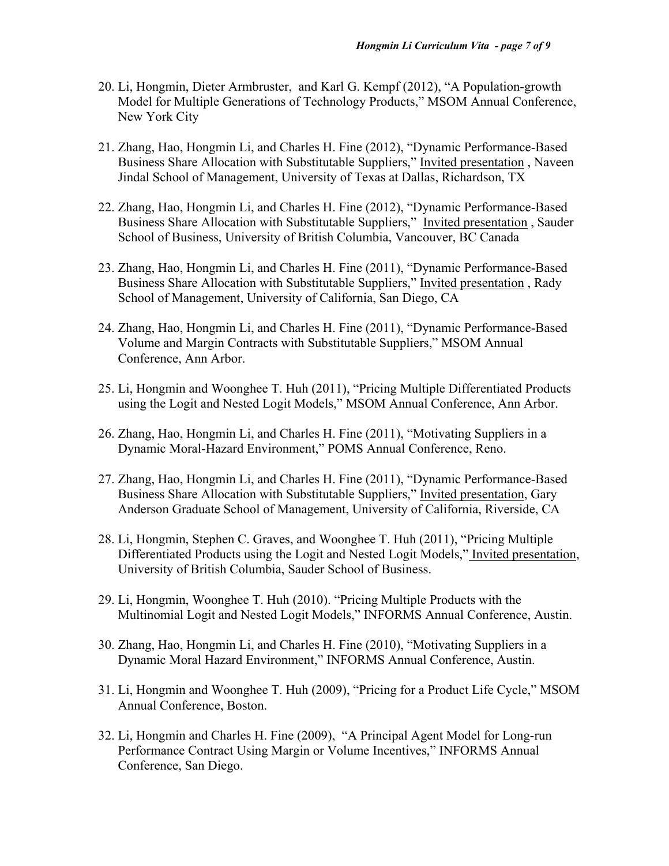- 20. Li, Hongmin, Dieter Armbruster, and Karl G. Kempf (2012), "A Population-growth Model for Multiple Generations of Technology Products," MSOM Annual Conference, New York City
- 21. Zhang, Hao, Hongmin Li, and Charles H. Fine (2012), "Dynamic Performance-Based Business Share Allocation with Substitutable Suppliers," Invited presentation , Naveen Jindal School of Management, University of Texas at Dallas, Richardson, TX
- 22. Zhang, Hao, Hongmin Li, and Charles H. Fine (2012), "Dynamic Performance-Based Business Share Allocation with Substitutable Suppliers," Invited presentation , Sauder School of Business, University of British Columbia, Vancouver, BC Canada
- 23. Zhang, Hao, Hongmin Li, and Charles H. Fine (2011), "Dynamic Performance-Based Business Share Allocation with Substitutable Suppliers," Invited presentation , Rady School of Management, University of California, San Diego, CA
- 24. Zhang, Hao, Hongmin Li, and Charles H. Fine (2011), "Dynamic Performance-Based Volume and Margin Contracts with Substitutable Suppliers," MSOM Annual Conference, Ann Arbor.
- 25. Li, Hongmin and Woonghee T. Huh (2011), "Pricing Multiple Differentiated Products using the Logit and Nested Logit Models," MSOM Annual Conference, Ann Arbor.
- 26. Zhang, Hao, Hongmin Li, and Charles H. Fine (2011), "Motivating Suppliers in a Dynamic Moral-Hazard Environment," POMS Annual Conference, Reno.
- 27. Zhang, Hao, Hongmin Li, and Charles H. Fine (2011), "Dynamic Performance-Based Business Share Allocation with Substitutable Suppliers," Invited presentation, Gary Anderson Graduate School of Management, University of California, Riverside, CA
- 28. Li, Hongmin, Stephen C. Graves, and Woonghee T. Huh (2011), "Pricing Multiple Differentiated Products using the Logit and Nested Logit Models," Invited presentation, University of British Columbia, Sauder School of Business.
- 29. Li, Hongmin, Woonghee T. Huh (2010). "Pricing Multiple Products with the Multinomial Logit and Nested Logit Models," INFORMS Annual Conference, Austin.
- 30. Zhang, Hao, Hongmin Li, and Charles H. Fine (2010), "Motivating Suppliers in a Dynamic Moral Hazard Environment," INFORMS Annual Conference, Austin.
- 31. Li, Hongmin and Woonghee T. Huh (2009), "Pricing for a Product Life Cycle," MSOM Annual Conference, Boston.
- 32. Li, Hongmin and Charles H. Fine (2009), "A Principal Agent Model for Long-run Performance Contract Using Margin or Volume Incentives," INFORMS Annual Conference, San Diego.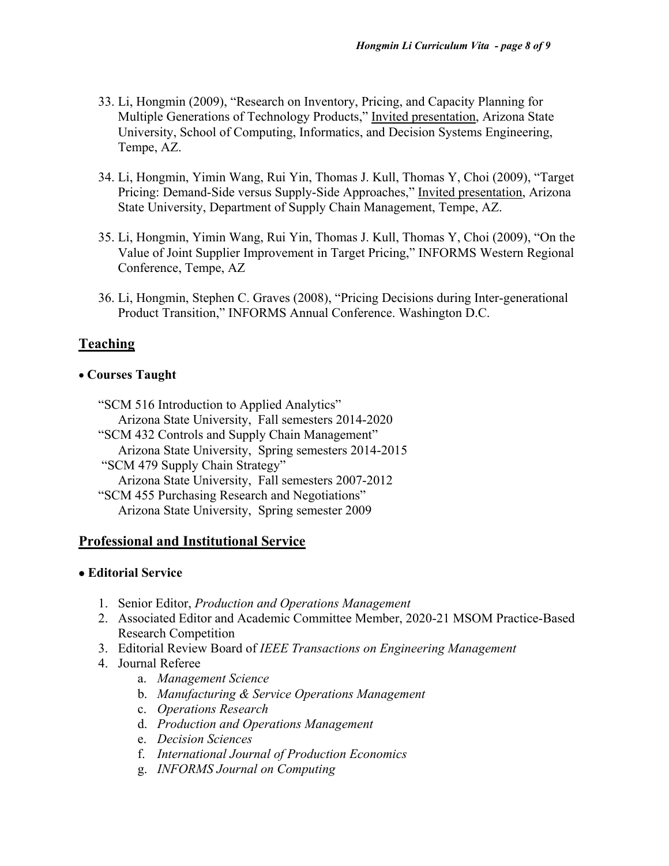- 33. Li, Hongmin (2009), "Research on Inventory, Pricing, and Capacity Planning for Multiple Generations of Technology Products," Invited presentation, Arizona State University, School of Computing, Informatics, and Decision Systems Engineering, Tempe, AZ.
- 34. Li, Hongmin, Yimin Wang, Rui Yin, Thomas J. Kull, Thomas Y, Choi (2009), "Target Pricing: Demand-Side versus Supply-Side Approaches," Invited presentation, Arizona State University, Department of Supply Chain Management, Tempe, AZ.
- 35. Li, Hongmin, Yimin Wang, Rui Yin, Thomas J. Kull, Thomas Y, Choi (2009), "On the Value of Joint Supplier Improvement in Target Pricing," INFORMS Western Regional Conference, Tempe, AZ
- 36. Li, Hongmin, Stephen C. Graves (2008), "Pricing Decisions during Inter-generational Product Transition," INFORMS Annual Conference. Washington D.C.

# **Teaching**

#### • **Courses Taught**

"SCM 516 Introduction to Applied Analytics" Arizona State University, Fall semesters 2014-2020 "SCM 432 Controls and Supply Chain Management" Arizona State University, Spring semesters 2014-2015 "SCM 479 Supply Chain Strategy" Arizona State University, Fall semesters 2007-2012 "SCM 455 Purchasing Research and Negotiations" Arizona State University, Spring semester 2009

## **Professional and Institutional Service**

#### • **Editorial Service**

- 1. Senior Editor, *Production and Operations Management*
- 2. Associated Editor and Academic Committee Member, 2020-21 MSOM Practice-Based Research Competition
- 3. Editorial Review Board of *IEEE Transactions on Engineering Management*
- 4. Journal Referee
	- a. *Management Science*
	- b. *Manufacturing & Service Operations Management*
	- c. *Operations Research*
	- d. *Production and Operations Management*
	- e. *Decision Sciences*
	- f. *International Journal of Production Economics*
	- g. *INFORMS Journal on Computing*